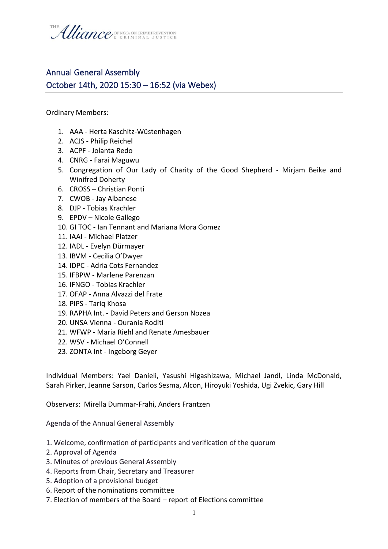

## Annual General Assembly October 14th, 2020 15:30 – 16:52 (via Webex)

Ordinary Members:

- 1. AAA Herta Kaschitz-Wüstenhagen
- 2. ACJS Philip Reichel
- 3. ACPF Jolanta Redo
- 4. CNRG Farai Maguwu
- 5. Congregation of Our Lady of Charity of the Good Shepherd Mirjam Beike and Winifred Doherty
- 6. CROSS Christian Ponti
- 7. CWOB Jay Albanese
- 8. DJP Tobias Krachler
- 9. EPDV Nicole Gallego
- 10. GI TOC Ian Tennant and Mariana Mora Gomez
- 11. IAAI Michael Platzer
- 12. IADL Evelyn Dürmayer
- 13. IBVM Cecilia O'Dwyer
- 14. IDPC Adria Cots Fernandez
- 15. IFBPW Marlene Parenzan
- 16. IFNGO Tobias Krachler
- 17. OFAP Anna Alvazzi del Frate
- 18. PIPS Tariq Khosa
- 19. RAPHA Int. David Peters and Gerson Nozea
- 20. UNSA Vienna Ourania Roditi
- 21. WFWP Maria Riehl and Renate Amesbauer
- 22. WSV Michael O'Connell
- 23. ZONTA Int Ingeborg Geyer

Individual Members: Yael Danieli, Yasushi Higashizawa, Michael Jandl, Linda McDonald, Sarah Pirker, Jeanne Sarson, Carlos Sesma, Alcon, Hiroyuki Yoshida, Ugi Zvekic, Gary Hill

Observers: Mirella Dummar-Frahi, Anders Frantzen

Agenda of the Annual General Assembly

- 1. Welcome, confirmation of participants and verification of the quorum
- 2. Approval of Agenda
- 3. Minutes of previous General Assembly
- 4. Reports from Chair, Secretary and Treasurer
- 5. Adoption of a provisional budget
- 6. Report of the nominations committee
- 7. Election of members of the Board report of Elections committee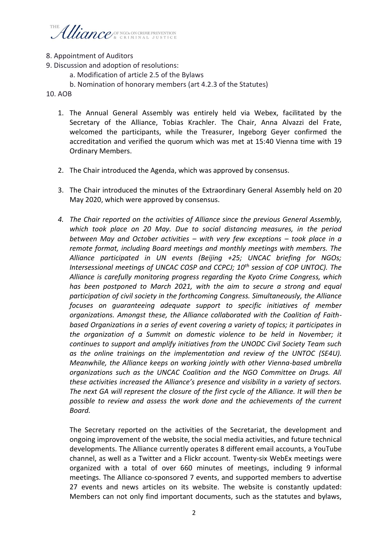## Uliance/ SE NGOS ON CRIME PREVENTION

## 8. Appointment of Auditors

- 9. Discussion and adoption of resolutions:
	- a. Modification of article 2.5 of the Bylaws
	- b. Nomination of honorary members (art 4.2.3 of the Statutes)

10. AOB

- 1. The Annual General Assembly was entirely held via Webex, facilitated by the Secretary of the Alliance, Tobias Krachler. The Chair, Anna Alvazzi del Frate, welcomed the participants, while the Treasurer, Ingeborg Geyer confirmed the accreditation and verified the quorum which was met at 15:40 Vienna time with 19 Ordinary Members.
- 2. The Chair introduced the Agenda, which was approved by consensus.
- 3. The Chair introduced the minutes of the Extraordinary General Assembly held on 20 May 2020, which were approved by consensus.
- *4. The Chair reported on the activities of Alliance since the previous General Assembly, which took place on 20 May. Due to social distancing measures, in the period between May and October activities – with very few exceptions – took place in a remote format, including Board meetings and monthly meetings with members. The Alliance participated in UN events (Beijing +25; UNCAC briefing for NGOs; Intersessional meetings of UNCAC COSP and CCPCJ; 10th session of COP UNTOC). The Alliance is carefully monitoring progress regarding the Kyoto Crime Congress, which has been postponed to March 2021, with the aim to secure a strong and equal participation of civil society in the forthcoming Congress. Simultaneously, the Alliance focuses on guaranteeing adequate support to specific initiatives of member organizations. Amongst these, the Alliance collaborated with the Coalition of Faithbased Organizations in a series of event covering a variety of topics; it participates in the organization of a Summit on domestic violence to be held in November; it continues to support and amplify initiatives from the UNODC Civil Society Team such as the online trainings on the implementation and review of the UNTOC (SE4U). Meanwhile, the Alliance keeps on working jointly with other Vienna-based umbrella organizations such as the UNCAC Coalition and the NGO Committee on Drugs. All these activities increased the Alliance's presence and visibility in a variety of sectors. The next GA will represent the closure of the first cycle of the Alliance. It will then be possible to review and assess the work done and the achievements of the current Board.*

The Secretary reported on the activities of the Secretariat, the development and ongoing improvement of the website, the social media activities, and future technical developments. The Alliance currently operates 8 different email accounts, a YouTube channel, as well as a Twitter and a Flickr account. Twenty-six WebEx meetings were organized with a total of over 660 minutes of meetings, including 9 informal meetings. The Alliance co-sponsored 7 events, and supported members to advertise 27 events and news articles on its website. The website is constantly updated: Members can not only find important documents, such as the statutes and bylaws,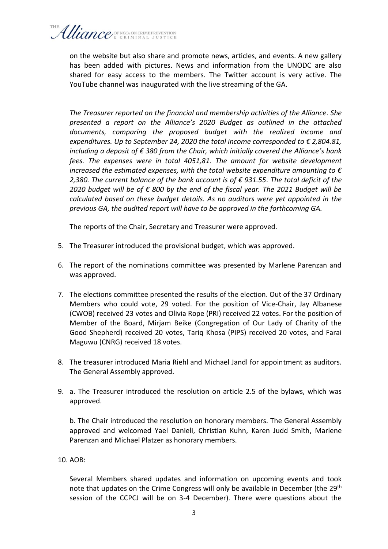on the website but also share and promote news, articles, and events. A new gallery has been added with pictures. News and information from the UNODC are also shared for easy access to the members. The Twitter account is very active. The YouTube channel was inaugurated with the live streaming of the GA.

*The Treasurer reported on the financial and membership activities of the Alliance. She presented a report on the Alliance's 2020 Budget as outlined in the attached documents, comparing the proposed budget with the realized income and expenditures. Up to September 24, 2020 the total income corresponded to € 2,804.81, including a deposit of € 380 from the Chair, which initially covered the Alliance's bank fees. The expenses were in total 4051,81. The amount for website development increased the estimated expenses, with the total website expenditure amounting to € 2,380. The current balance of the bank account is of € 931.55. The total deficit of the 2020 budget will be of € 800 by the end of the fiscal year. The 2021 Budget will be calculated based on these budget details. As no auditors were yet appointed in the previous GA, the audited report will have to be approved in the forthcoming GA.* 

The reports of the Chair, Secretary and Treasurer were approved.

- 5. The Treasurer introduced the provisional budget, which was approved.
- 6. The report of the nominations committee was presented by Marlene Parenzan and was approved.
- 7. The elections committee presented the results of the election. Out of the 37 Ordinary Members who could vote, 29 voted. For the position of Vice-Chair, Jay Albanese (CWOB) received 23 votes and Olivia Rope (PRI) received 22 votes. For the position of Member of the Board, Mirjam Beike (Congregation of Our Lady of Charity of the Good Shepherd) received 20 votes, Tariq Khosa (PIPS) received 20 votes, and Farai Maguwu (CNRG) received 18 votes.
- 8. The treasurer introduced Maria Riehl and Michael Jandl for appointment as auditors. The General Assembly approved.
- 9. a. The Treasurer introduced the resolution on article 2.5 of the bylaws, which was approved.

b. The Chair introduced the resolution on honorary members. The General Assembly approved and welcomed Yael Danieli, Christian Kuhn, Karen Judd Smith, Marlene Parenzan and Michael Platzer as honorary members.

## 10. AOB:

Several Members shared updates and information on upcoming events and took note that updates on the Crime Congress will only be available in December (the 29<sup>th</sup>) session of the CCPCJ will be on 3-4 December). There were questions about the